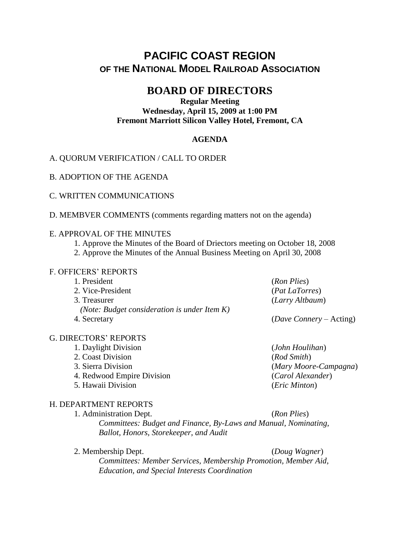# **PACIFIC COAST REGION OF THE NATIONAL MODEL RAILROAD ASSOCIATION**

# **BOARD OF DIRECTORS**

### **Regular Meeting Wednesday, April 15, 2009 at 1:00 PM Fremont Marriott Silicon Valley Hotel, Fremont, CA**

# **AGENDA**

## A. QUORUM VERIFICATION / CALL TO ORDER

B. ADOPTION OF THE AGENDA

C. WRITTEN COMMUNICATIONS

D. MEMBVER COMMENTS (comments regarding matters not on the agenda)

#### E. APPROVAL OF THE MINUTES

- 1. Approve the Minutes of the Board of Driectors meeting on October 18, 2008
- 2. Approve the Minutes of the Annual Business Meeting on April 30, 2008

#### F. OFFICERS' REPORTS

| 1. President                                    | (Ron Plies)             |
|-------------------------------------------------|-------------------------|
| 2. Vice-President                               | ( <i>Pat LaTorres</i> ) |
| 3. Treasurer                                    | (Larry Altbaum)         |
| (Note: Budget consideration is under Item $K$ ) |                         |
| 4. Secretary                                    | (Dave Connery – Acting) |

#### G. DIRECTORS' REPORTS

- 1. Daylight Division (*John Houlihan*)
	- 2. Coast Division (*Rod Smith*)
	-
	- 4. Redwood Empire Division (*Carol Alexander*)
	- 5. Hawaii Division (*Eric Minton*)

## H. DEPARTMENT REPORTS

1. Administration Dept. (*Ron Plies*) *Committees: Budget and Finance, By-Laws and Manual, Nominating, Ballot, Honors, Storekeeper, and Audit*

2. Membership Dept. (*Doug Wagner*) *Committees: Member Services, Membership Promotion, Member Aid, Education, and Special Interests Coordination*

3. Sierra Division (*Mary Moore-Campagna*)